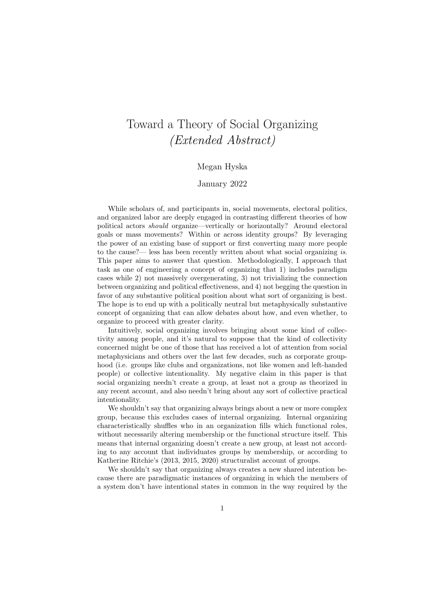## Toward a Theory of Social Organizing (Extended Abstract)

## Megan Hyska

## January 2022

While scholars of, and participants in, social movements, electoral politics, and organized labor are deeply engaged in contrasting different theories of how political actors should organize—vertically or horizontally? Around electoral goals or mass movements? Within or across identity groups? By leveraging the power of an existing base of support or first converting many more people to the cause?— less has been recently written about what social organizing is. This paper aims to answer that question. Methodologically, I approach that task as one of engineering a concept of organizing that 1) includes paradigm cases while 2) not massively overgenerating, 3) not trivializing the connection between organizing and political effectiveness, and 4) not begging the question in favor of any substantive political position about what sort of organizing is best. The hope is to end up with a politically neutral but metaphysically substantive concept of organizing that can allow debates about how, and even whether, to organize to proceed with greater clarity.

Intuitively, social organizing involves bringing about some kind of collectivity among people, and it's natural to suppose that the kind of collectivity concerned might be one of those that has received a lot of attention from social metaphysicians and others over the last few decades, such as corporate grouphood (i.e. groups like clubs and organizations, not like women and left-handed people) or collective intentionality. My negative claim in this paper is that social organizing needn't create a group, at least not a group as theorized in any recent account, and also needn't bring about any sort of collective practical intentionality.

We shouldn't say that organizing always brings about a new or more complex group, because this excludes cases of internal organizing. Internal organizing characteristically shuffles who in an organization fills which functional roles, without necessarily altering membership or the functional structure itself. This means that internal organizing doesn't create a new group, at least not according to any account that individuates groups by membership, or according to Katherine Ritchie's (2013, 2015, 2020) structuralist account of groups.

We shouldn't say that organizing always creates a new shared intention because there are paradigmatic instances of organizing in which the members of a system don't have intentional states in common in the way required by the